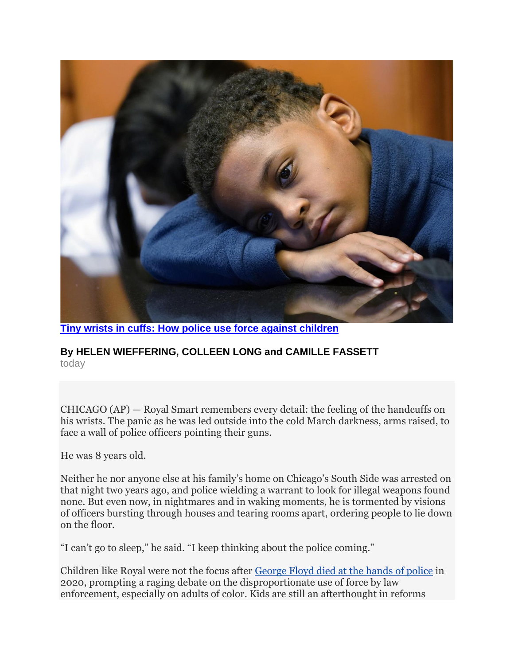

**[Tiny wrists in cuffs: How police use force against children](https://apnews.com/article/death-of-george-floyd-arrests-george-floyd-chicago-only-on-ap-5df43637790f1750dcfbac559ec3bfdb?user_email_address=afdcc4692cdd311dc89e914422f5b154&utm_source=Sailthru&utm_medium=email&utm_campaign=MorningWire_Oct20&utm_term=Morning%20Wire%20Subscribers)**

## **By HELEN WIEFFERING, COLLEEN LONG and CAMILLE FASSETT** today

CHICAGO (AP) — Royal Smart remembers every detail: the feeling of the handcuffs on his wrists. The panic as he was led outside into the cold March darkness, arms raised, to face a wall of police officers pointing their guns.

He was 8 years old.

Neither he nor anyone else at his family's home on Chicago's South Side was arrested on that night two years ago, and police wielding a warrant to look for illegal weapons found none. But even now, in nightmares and in waking moments, he is tormented by visions of officers bursting through houses and tearing rooms apart, ordering people to lie down on the floor.

"I can't go to sleep," he said. "I keep thinking about the police coming."

Children like Royal were not the focus after [George Floyd died at the hands of police](https://apnews.com/hub/death-of-george-floyd) in 2020, prompting a raging debate on the disproportionate use of force by law enforcement, especially on adults of color. Kids are still an afterthought in reforms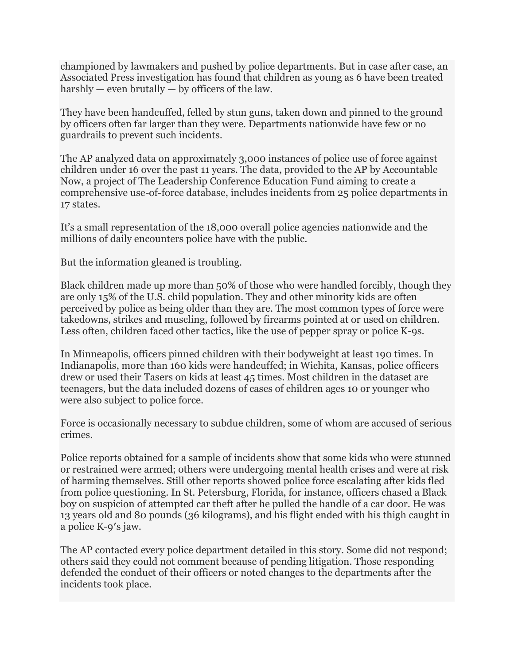championed by lawmakers and pushed by police departments. But in case after case, an Associated Press investigation has found that children as young as 6 have been treated harshly  $-$  even brutally  $-$  by officers of the law.

They have been handcuffed, felled by stun guns, taken down and pinned to the ground by officers often far larger than they were. Departments nationwide have few or no guardrails to prevent such incidents.

The AP analyzed data on approximately 3,000 instances of police use of force against children under 16 over the past 11 years. The data, provided to the AP by Accountable Now, a project of The Leadership Conference Education Fund aiming to create a comprehensive use-of-force database, includes incidents from 25 police departments in 17 states.

It's a small representation of the 18,000 overall police agencies nationwide and the millions of daily encounters police have with the public.

But the information gleaned is troubling.

Black children made up more than 50% of those who were handled forcibly, though they are only 15% of the U.S. child population. They and other minority kids are often perceived by police as being older than they are. The most common types of force were takedowns, strikes and muscling, followed by firearms pointed at or used on children. Less often, children faced other tactics, like the use of pepper spray or police K-9s.

In Minneapolis, officers pinned children with their bodyweight at least 190 times. In Indianapolis, more than 160 kids were handcuffed; in Wichita, Kansas, police officers drew or used their Tasers on kids at least 45 times. Most children in the dataset are teenagers, but the data included dozens of cases of children ages 10 or younger who were also subject to police force.

Force is occasionally necessary to subdue children, some of whom are accused of serious crimes.

Police reports obtained for a sample of incidents show that some kids who were stunned or restrained were armed; others were undergoing mental health crises and were at risk of harming themselves. Still other reports showed police force escalating after kids fled from police questioning. In St. Petersburg, Florida, for instance, officers chased a Black boy on suspicion of attempted car theft after he pulled the handle of a car door. He was 13 years old and 80 pounds (36 kilograms), and his flight ended with his thigh caught in a police K-9′s jaw.

The AP contacted every police department detailed in this story. Some did not respond; others said they could not comment because of pending litigation. Those responding defended the conduct of their officers or noted changes to the departments after the incidents took place.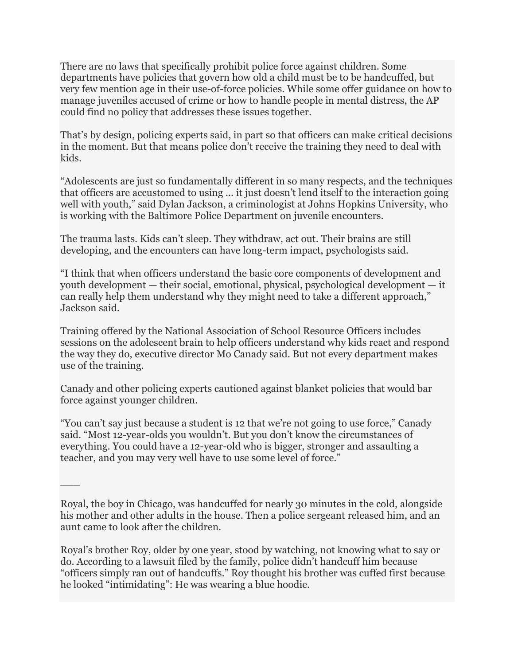There are no laws that specifically prohibit police force against children. Some departments have policies that govern how old a child must be to be handcuffed, but very few mention age in their use-of-force policies. While some offer guidance on how to manage juveniles accused of crime or how to handle people in mental distress, the AP could find no policy that addresses these issues together.

That's by design, policing experts said, in part so that officers can make critical decisions in the moment. But that means police don't receive the training they need to deal with kids.

"Adolescents are just so fundamentally different in so many respects, and the techniques that officers are accustomed to using … it just doesn't lend itself to the interaction going well with youth," said Dylan Jackson, a criminologist at Johns Hopkins University, who is working with the Baltimore Police Department on juvenile encounters.

The trauma lasts. Kids can't sleep. They withdraw, act out. Their brains are still developing, and the encounters can have long-term impact, psychologists said.

"I think that when officers understand the basic core components of development and youth development — their social, emotional, physical, psychological development — it can really help them understand why they might need to take a different approach," Jackson said.

Training offered by the National Association of School Resource Officers includes sessions on the adolescent brain to help officers understand why kids react and respond the way they do, executive director Mo Canady said. But not every department makes use of the training.

Canady and other policing experts cautioned against blanket policies that would bar force against younger children.

"You can't say just because a student is 12 that we're not going to use force," Canady said. "Most 12-year-olds you wouldn't. But you don't know the circumstances of everything. You could have a 12-year-old who is bigger, stronger and assaulting a teacher, and you may very well have to use some level of force."

 $\overline{\phantom{a}}$ 

Royal, the boy in Chicago, was handcuffed for nearly 30 minutes in the cold, alongside his mother and other adults in the house. Then a police sergeant released him, and an aunt came to look after the children.

Royal's brother Roy, older by one year, stood by watching, not knowing what to say or do. According to a lawsuit filed by the family, police didn't handcuff him because "officers simply ran out of handcuffs." Roy thought his brother was cuffed first because he looked "intimidating": He was wearing a blue hoodie.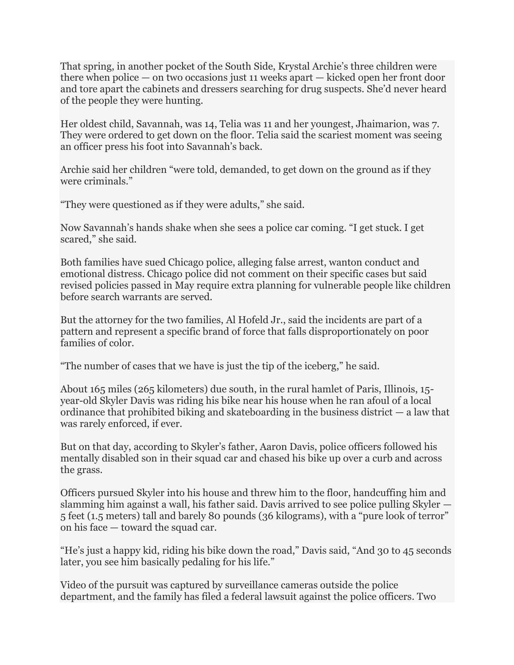That spring, in another pocket of the South Side, Krystal Archie's three children were there when police — on two occasions just 11 weeks apart — kicked open her front door and tore apart the cabinets and dressers searching for drug suspects. She'd never heard of the people they were hunting.

Her oldest child, Savannah, was 14, Telia was 11 and her youngest, Jhaimarion, was 7. They were ordered to get down on the floor. Telia said the scariest moment was seeing an officer press his foot into Savannah's back.

Archie said her children "were told, demanded, to get down on the ground as if they were criminals."

"They were questioned as if they were adults," she said.

Now Savannah's hands shake when she sees a police car coming. "I get stuck. I get scared," she said.

Both families have sued Chicago police, alleging false arrest, wanton conduct and emotional distress. Chicago police did not comment on their specific cases but said revised policies passed in May require extra planning for vulnerable people like children before search warrants are served.

But the attorney for the two families, Al Hofeld Jr., said the incidents are part of a pattern and represent a specific brand of force that falls disproportionately on poor families of color.

"The number of cases that we have is just the tip of the iceberg," he said.

About 165 miles (265 kilometers) due south, in the rural hamlet of Paris, Illinois, 15 year-old Skyler Davis was riding his bike near his house when he ran afoul of a local ordinance that prohibited biking and skateboarding in the business district — a law that was rarely enforced, if ever.

But on that day, according to Skyler's father, Aaron Davis, police officers followed his mentally disabled son in their squad car and chased his bike up over a curb and across the grass.

Officers pursued Skyler into his house and threw him to the floor, handcuffing him and slamming him against a wall, his father said. Davis arrived to see police pulling Skyler — 5 feet (1.5 meters) tall and barely 80 pounds (36 kilograms), with a "pure look of terror" on his face — toward the squad car.

"He's just a happy kid, riding his bike down the road," Davis said, "And 30 to 45 seconds later, you see him basically pedaling for his life."

Video of the pursuit was captured by surveillance cameras outside the police department, and the family has filed a federal lawsuit against the police officers. Two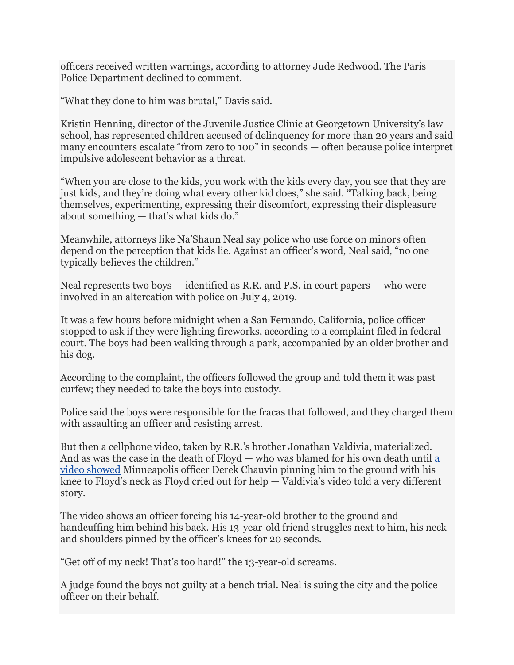officers received written warnings, according to attorney Jude Redwood. The Paris Police Department declined to comment.

"What they done to him was brutal," Davis said.

Kristin Henning, director of the Juvenile Justice Clinic at Georgetown University's law school, has represented children accused of delinquency for more than 20 years and said many encounters escalate "from zero to 100" in seconds — often because police interpret impulsive adolescent behavior as a threat.

"When you are close to the kids, you work with the kids every day, you see that they are just kids, and they're doing what every other kid does," she said. "Talking back, being themselves, experimenting, expressing their discomfort, expressing their displeasure about something — that's what kids do."

Meanwhile, attorneys like Na'Shaun Neal say police who use force on minors often depend on the perception that kids lie. Against an officer's word, Neal said, "no one typically believes the children."

Neal represents two boys — identified as R.R. and P.S. in court papers — who were involved in an altercation with police on July 4, 2019.

It was a few hours before midnight when a San Fernando, California, police officer stopped to ask if they were lighting fireworks, according to a complaint filed in federal court. The boys had been walking through a park, accompanied by an older brother and his dog.

According to the complaint, the officers followed the group and told them it was past curfew; they needed to take the boys into custody.

Police said the boys were responsible for the fracas that followed, and they charged them with assaulting an officer and resisting arrest.

But then a cellphone video, taken by R.R.'s brother Jonathan Valdivia, materialized. And as was the case in the death of Floyd — who was blamed for his own death until [a](https://apnews.com/article/video-dominates-derek-chauvin-trial-explained-f7608641d2fdbd6a8443691fd7ca1625)  [video showed](https://apnews.com/article/video-dominates-derek-chauvin-trial-explained-f7608641d2fdbd6a8443691fd7ca1625) Minneapolis officer Derek Chauvin pinning him to the ground with his knee to Floyd's neck as Floyd cried out for help — Valdivia's video told a very different story.

The video shows an officer forcing his 14-year-old brother to the ground and handcuffing him behind his back. His 13-year-old friend struggles next to him, his neck and shoulders pinned by the officer's knees for 20 seconds.

"Get off of my neck! That's too hard!" the 13-year-old screams.

A judge found the boys not guilty at a bench trial. Neal is suing the city and the police officer on their behalf.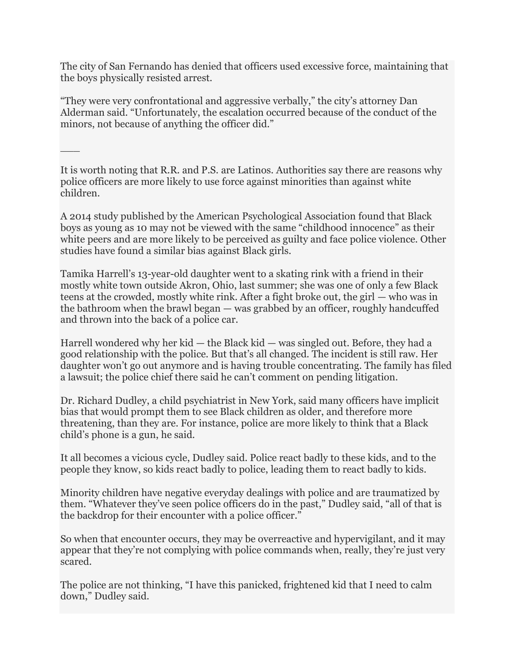The city of San Fernando has denied that officers used excessive force, maintaining that the boys physically resisted arrest.

"They were very confrontational and aggressive verbally," the city's attorney Dan Alderman said. "Unfortunately, the escalation occurred because of the conduct of the minors, not because of anything the officer did."

 $\overline{\phantom{a}}$ 

It is worth noting that R.R. and P.S. are Latinos. Authorities say there are reasons why police officers are more likely to use force against minorities than against white children.

A 2014 study published by the American Psychological Association found that Black boys as young as 10 may not be viewed with the same "childhood innocence" as their white peers and are more likely to be perceived as guilty and face police violence. Other studies have found a similar bias against Black girls.

Tamika Harrell's 13-year-old daughter went to a skating rink with a friend in their mostly white town outside Akron, Ohio, last summer; she was one of only a few Black teens at the crowded, mostly white rink. After a fight broke out, the girl — who was in the bathroom when the brawl began — was grabbed by an officer, roughly handcuffed and thrown into the back of a police car.

Harrell wondered why her kid — the Black kid — was singled out. Before, they had a good relationship with the police. But that's all changed. The incident is still raw. Her daughter won't go out anymore and is having trouble concentrating. The family has filed a lawsuit; the police chief there said he can't comment on pending litigation.

Dr. Richard Dudley, a child psychiatrist in New York, said many officers have implicit bias that would prompt them to see Black children as older, and therefore more threatening, than they are. For instance, police are more likely to think that a Black child's phone is a gun, he said.

It all becomes a vicious cycle, Dudley said. Police react badly to these kids, and to the people they know, so kids react badly to police, leading them to react badly to kids.

Minority children have negative everyday dealings with police and are traumatized by them. "Whatever they've seen police officers do in the past," Dudley said, "all of that is the backdrop for their encounter with a police officer."

So when that encounter occurs, they may be overreactive and hypervigilant, and it may appear that they're not complying with police commands when, really, they're just very scared.

The police are not thinking, "I have this panicked, frightened kid that I need to calm down," Dudley said.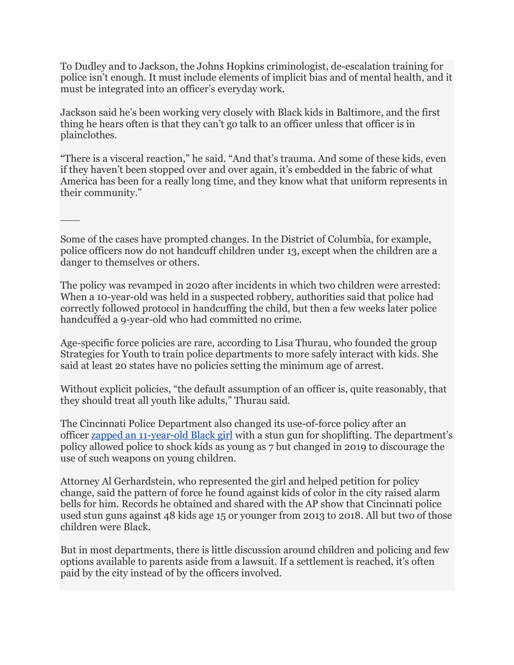To Dudley and to Jackson, the Johns Hopkins criminologist, de-escalation training for police isn't enough. It must include elements of implicit bias and of mental health, and it must be integrated into an officer's everyday work.

Jackson said he's been working very closely with Black kids in Baltimore, and the first thing he hears often is that they can't go talk to an officer unless that officer is in plainclothes.

"There is a visceral reaction," he said. "And that's trauma. And some of these kids, even if they haven't been stopped over and over again, it's embedded in the fabric of what America has been for a really long time, and they know what that uniform represents in their community."

Some of the cases have prompted changes. In the District of Columbia, for example, police officers now do not handcuff children under 13, except when the children are a danger to themselves or others.

 $\overline{\phantom{a}}$ 

The policy was revamped in 2020 after incidents in which two children were arrested: When a 10-year-old was held in a suspected robbery, authorities said that police had correctly followed protocol in handcuffing the child, but then a few weeks later police handcuffed a 9-year-old who had committed no crime.

Age-specific force policies are rare, according to Lisa Thurau, who founded the group Strategies for Youth to train police departments to more safely interact with kids. She said at least 20 states have no policies setting the minimum age of arrest.

Without explicit policies, "the default assumption of an officer is, quite reasonably, that they should treat all youth like adults," Thurau said.

The Cincinnati Police Department also changed its use-of-force policy after an officer [zapped an 11-year-old Black girl](https://apnews.com/article/47b21e83511b48ea8707a4f5cb798256) with a stun gun for shoplifting. The department's policy allowed police to shock kids as young as 7 but changed in 2019 to discourage the use of such weapons on young children.

Attorney Al Gerhardstein, who represented the girl and helped petition for policy change, said the pattern of force he found against kids of color in the city raised alarm bells for him. Records he obtained and shared with the AP show that Cincinnati police used stun guns against 48 kids age 15 or younger from 2013 to 2018. All but two of those children were Black.

But in most departments, there is little discussion around children and policing and few options available to parents aside from a lawsuit. If a settlement is reached, it's often paid by the city instead of by the officers involved.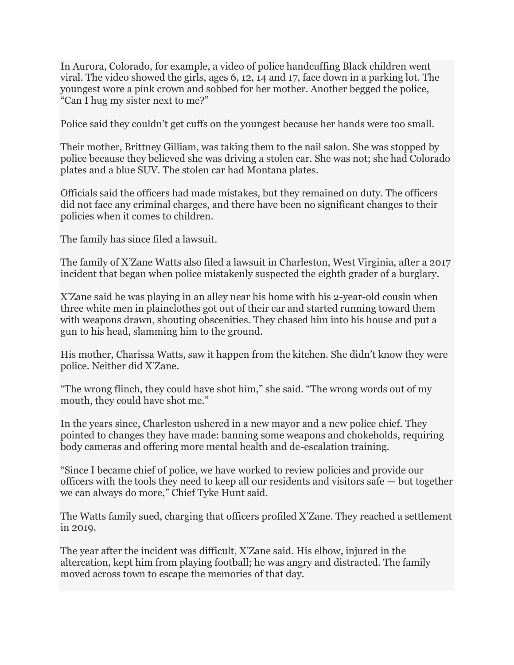In Aurora, Colorado, for example, a video of police handcuffing Black children went viral. The video showed the girls, ages 6, 12, 14 and 17, face down in a parking lot. The youngest wore a pink crown and sobbed for her mother. Another begged the police, "Can I hug my sister next to me?"

Police said they couldn't get cuffs on the youngest because her hands were too small.

Their mother, Brittney Gilliam, was taking them to the nail salon. She was stopped by police because they believed she was driving a stolen car. She was not; she had Colorado plates and a blue SUV. The stolen car had Montana plates.

Officials said the officers had made mistakes, but they remained on duty. The officers did not face any criminal charges, and there have been no significant changes to their policies when it comes to children.

The family has since filed a lawsuit.

The family of X'Zane Watts also filed a lawsuit in Charleston, West Virginia, after a 2017 incident that began when police mistakenly suspected the eighth grader of a burglary.

X'Zane said he was playing in an alley near his home with his 2-year-old cousin when three white men in plainclothes got out of their car and started running toward them with weapons drawn, shouting obscenities. They chased him into his house and put a gun to his head, slamming him to the ground.

His mother, Charissa Watts, saw it happen from the kitchen. She didn't know they were police. Neither did X'Zane.

"The wrong flinch, they could have shot him," she said. "The wrong words out of my mouth, they could have shot me."

In the years since, Charleston ushered in a new mayor and a new police chief. They pointed to changes they have made: banning some weapons and chokeholds, requiring body cameras and offering more mental health and de-escalation training.

"Since I became chief of police, we have worked to review policies and provide our officers with the tools they need to keep all our residents and visitors safe — but together we can always do more," Chief Tyke Hunt said.

The Watts family sued, charging that officers profiled X'Zane. They reached a settlement in 2019.

The year after the incident was difficult, X'Zane said. His elbow, injured in the altercation, kept him from playing football; he was angry and distracted. The family moved across town to escape the memories of that day.